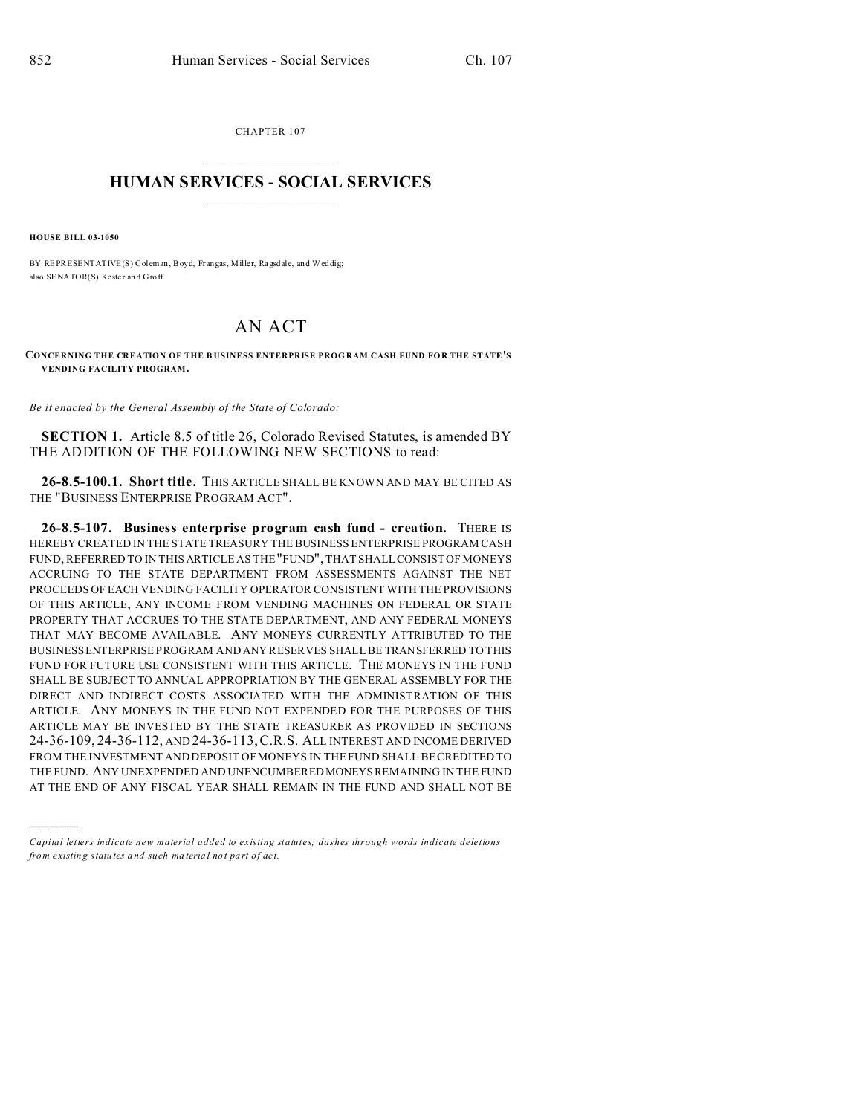CHAPTER 107  $\overline{\phantom{a}}$  , where  $\overline{\phantom{a}}$ 

## **HUMAN SERVICES - SOCIAL SERVICES**  $\frac{1}{2}$  ,  $\frac{1}{2}$  ,  $\frac{1}{2}$  ,  $\frac{1}{2}$  ,  $\frac{1}{2}$  ,  $\frac{1}{2}$  ,  $\frac{1}{2}$

**HOUSE BILL 03-1050**

)))))

BY REPRESENTATIVE(S) Coleman, Boyd, Frangas, Miller, Ragsdale, and Weddig; also SENATOR(S) Kester an d Groff.

## AN ACT

**CONCERNING THE CREATION OF THE B USINESS ENTERPRISE PROG RAM CASH FUND FOR THE STATE'S VENDING FACILITY PROGRAM.**

*Be it enacted by the General Assembly of the State of Colorado:*

**SECTION 1.** Article 8.5 of title 26, Colorado Revised Statutes, is amended BY THE ADDITION OF THE FOLLOWING NEW SECTIONS to read:

**26-8.5-100.1. Short title.** THIS ARTICLE SHALL BE KNOWN AND MAY BE CITED AS THE "BUSINESS ENTERPRISE PROGRAM ACT".

**26-8.5-107. Business enterprise program cash fund - creation.** THERE IS HEREBY CREATED IN THE STATE TREASURY THE BUSINESS ENTERPRISE PROGRAM CASH FUND, REFERRED TO IN THIS ARTICLE AS THE "FUND", THAT SHALL CONSIST OF MONEYS ACCRUING TO THE STATE DEPARTMENT FROM ASSESSMENTS AGAINST THE NET PROCEEDS OF EACH VENDING FACILITY OPERATOR CONSISTENT WITH THE PROVISIONS OF THIS ARTICLE, ANY INCOME FROM VENDING MACHINES ON FEDERAL OR STATE PROPERTY THAT ACCRUES TO THE STATE DEPARTMENT, AND ANY FEDERAL MONEYS THAT MAY BECOME AVAILABLE. ANY MONEYS CURRENTLY ATTRIBUTED TO THE BUSINESS ENTERPRISE PROGRAM AND ANY RESERVES SHALL BE TRANSFERRED TO THIS FUND FOR FUTURE USE CONSISTENT WITH THIS ARTICLE. THE MONEYS IN THE FUND SHALL BE SUBJECT TO ANNUAL APPROPRIATION BY THE GENERAL ASSEMBLY FOR THE DIRECT AND INDIRECT COSTS ASSOCIATED WITH THE ADMINISTRATION OF THIS ARTICLE. ANY MONEYS IN THE FUND NOT EXPENDED FOR THE PURPOSES OF THIS ARTICLE MAY BE INVESTED BY THE STATE TREASURER AS PROVIDED IN SECTIONS 24-36-109, 24-36-112, AND 24-36-113,C.R.S. ALL INTEREST AND INCOME DERIVED FROM THE INVESTMENT AND DEPOSIT OF MONEYS IN THE FUND SHALL BE CREDITED TO THE FUND. ANY UNEXPENDED AND UNENCUMBERED MONEYSREMAINING IN THE FUND AT THE END OF ANY FISCAL YEAR SHALL REMAIN IN THE FUND AND SHALL NOT BE

*Capital letters indicate new material added to existing statutes; dashes through words indicate deletions from e xistin g statu tes a nd such ma teria l no t pa rt of ac t.*